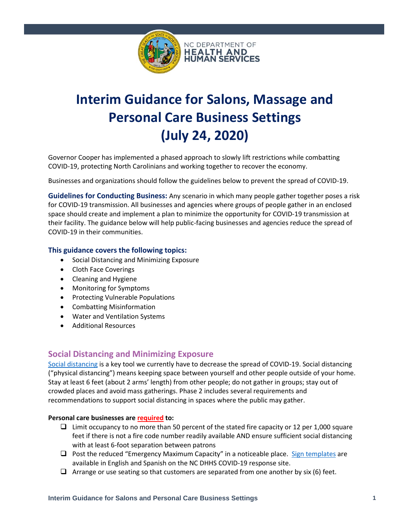

# **Interim Guidance for Salons, Massage and Personal Care Business Settings (July 24, 2020)**

Governor Cooper has implemented a phased approach to slowly lift restrictions while combatting COVID-19, protecting North Carolinians and working together to recover the economy.

Businesses and organizations should follow the guidelines below to prevent the spread of COVID-19.

**Guidelines for Conducting Business:** Any scenario in which many people gather together poses a risk for COVID-19 transmission. All businesses and agencies where groups of people gather in an enclosed space should create and implement a plan to minimize the opportunity for COVID-19 transmission at their facility. The guidance below will help public-facing businesses and agencies reduce the spread of COVID-19 in their communities.

## **This guidance covers the following topics:**

- Social Distancing and Minimizing Exposure
- Cloth Face Coverings
- Cleaning and Hygiene
- Monitoring for Symptoms
- Protecting Vulnerable Populations
- Combatting Misinformation
- Water and Ventilation Systems
- Additional Resources

## **Social Distancing and Minimizing Exposure**

[Social distancing](https://www.cdc.gov/coronavirus/2019-ncov/prevent-getting-sick/social-distancing.html) is a key tool we currently have to decrease the spread of COVID-19. Social distancing ("physical distancing") means keeping space between yourself and other people outside of your home. Stay at least 6 feet (about 2 arms' length) from other people; do not gather in groups; stay out of crowded places and avoid mass gatherings. Phase 2 includes several requirements and recommendations to support social distancing in spaces where the public may gather.

#### **Personal care businesses are required to:**

- ❑ Limit occupancy to no more than 50 percent of the stated fire capacity or 12 per 1,000 square feet if there is not a fire code number readily available AND ensure sufficient social distancing with at least 6-foot separation between patrons
- ❑ Post the reduced "Emergency Maximum Capacity" in a noticeable place. [Sign templates](https://covid19.ncdhhs.gov/guidance#phase-1-easing-of-restrictions) are available in English and Spanish on the NC DHHS COVID-19 response site.
- $\Box$  Arrange or use seating so that customers are separated from one another by six (6) feet.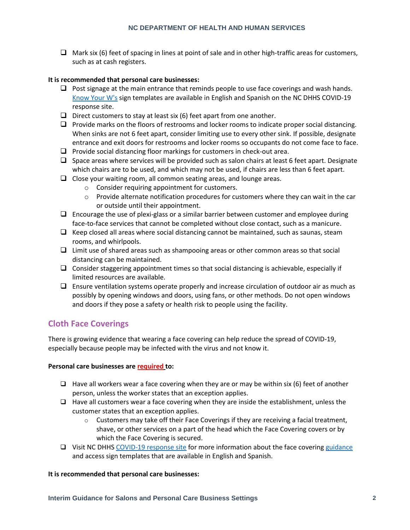$\Box$  Mark six (6) feet of spacing in lines at point of sale and in other high-traffic areas for customers, such as at cash registers.

#### **It is recommended that personal care businesses:**

- $\Box$  Post signage at the main entrance that reminds people to use face coverings and wash hands. [Know Your W's](https://covid19.ncdhhs.gov/materials-resources/know-your-ws-wear-wait-wash) sign templates are available in English and Spanish on the NC DHHS COVID-19 response site.
- $\Box$  Direct customers to stay at least six (6) feet apart from one another.
- ❑ Provide marks on the floors of restrooms and locker rooms to indicate proper social distancing. When sinks are not 6 feet apart, consider limiting use to every other sink. If possible, designate entrance and exit doors for restrooms and locker rooms so occupants do not come face to face.
- ❑ Provide social distancing floor markings for customers in check-out area.
- $\Box$  Space areas where services will be provided such as salon chairs at least 6 feet apart. Designate which chairs are to be used, and which may not be used, if chairs are less than 6 feet apart.
- ❑ Close your waiting room, all common seating areas, and lounge areas.
	- o Consider requiring appointment for customers.
	- $\circ$  Provide alternate notification procedures for customers where they can wait in the car or outside until their appointment.
- $\Box$  Encourage the use of plexi-glass or a similar barrier between customer and employee during face-to-face services that cannot be completed without close contact, such as a manicure.
- $\Box$  Keep closed all areas where social distancing cannot be maintained, such as saunas, steam rooms, and whirlpools.
- ❑ Limit use of shared areas such as shampooing areas or other common areas so that social distancing can be maintained.
- ❑ Consider staggering appointment times so that social distancing is achievable, especially if limited resources are available.
- ❑ Ensure ventilation systems operate properly and increase circulation of outdoor air as much as possibly by opening windows and doors, using fans, or other methods. Do not open windows and doors if they pose a safety or health risk to people using the facility.

# **Cloth Face Coverings**

There is growing evidence that wearing a face covering can help reduce the spread of COVID-19, especially because people may be infected with the virus and not know it.

## **Personal care businesses are required to:**

- $\Box$  Have all workers wear a face covering when they are or may be within six (6) feet of another person, unless the worker states that an exception applies.
- $\Box$  Have all customers wear a face covering when they are inside the establishment, unless the customer states that an exception applies.
	- $\circ$  Customers may take off their Face Coverings if they are receiving a facial treatment, shave, or other services on a part of the head which the Face Covering covers or by which the Face Covering is secured.
- ❑ Visit NC DHHS [COVID-19 response site](https://covid19.ncdhhs.gov/guidance#phase-2-easing-of-restrictions) for more information about the face covering [guidance](https://files.nc.gov/covid/documents/guidance/NCDHHS-Interim-Guidance-on-Face-Coverings.pdf) and access sign templates that are available in English and Spanish.

#### **It is recommended that personal care businesses:**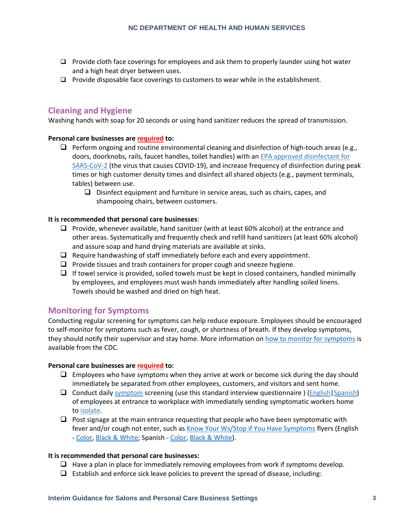- ❑ Provide cloth face coverings for employees and ask them to properly launder using hot water and a high heat dryer between uses.
- ❑ Provide disposable face coverings to customers to wear while in the establishment.

# **Cleaning and Hygiene**

Washing hands with soap for 20 seconds or using hand sanitizer reduces the spread of transmission.

## **Personal care businesses are required to:**

- $\Box$  Perform ongoing and routine environmental cleaning and disinfection of high-touch areas (e.g., doors, doorknobs, rails, faucet handles, toilet handles) with an [EPA approved disinfectant for](https://www.epa.gov/pesticide-registration/list-n-disinfectants-use-against-sars-cov-2)  [SARS-CoV-2](https://www.epa.gov/pesticide-registration/list-n-disinfectants-use-against-sars-cov-2) (the virus that causes COVID-19), and increase frequency of disinfection during peak times or high customer density times and disinfect all shared objects (e.g., payment terminals, tables) between use.
	- ❑ Disinfect equipment and furniture in service areas, such as chairs, capes, and shampooing chairs, between customers.

## **It is recommended that personal care businesses**:

- ❑ Provide, whenever available, hand sanitizer (with at least 60% alcohol) at the entrance and other areas. Systematically and frequently check and refill hand sanitizers (at least 60% alcohol) and assure soap and hand drying materials are available at sinks.
- ❑ Require handwashing of staff immediately before each and every appointment.
- ❑ Provide tissues and trash containers for proper cough and sneeze hygiene.
- $\Box$  If towel service is provided, soiled towels must be kept in closed containers, handled minimally by employees, and employees must wash hands immediately after handling soiled linens. Towels should be washed and dried on high heat.

# **Monitoring for Symptoms**

Conducting regular screening for symptoms can help reduce exposure. Employees should be encouraged to self-monitor for symptoms such as fever, cough, or shortness of breath. If they develop symptoms, they should notify their supervisor and stay home. More information on [how to monitor for symptoms](https://www.cdc.gov/coronavirus/2019-ncov/symptoms-testing/symptoms.html) is available from the CDC.

## **Personal care businesses are required to:**

- $\Box$  Employees who have symptoms when they arrive at work or become sick during the day should immediately be separated from other employees, customers, and visitors and sent home.
- ❑ Conduct dail[y symptom](https://www.cdc.gov/coronavirus/2019-ncov/symptoms-testing/symptoms.html?CDC_AA_refVal=https%3A%2F%2Fwww.cdc.gov%2Fcoronavirus%2F2019-ncov%2Fsymptoms-testing%2Findex.html) screening (use this standard interview questionnaire ) [\(English](https://files.nc.gov/ncdhhs/Symptom-Screening-Checklist-ENGLISH.docx)[|Spanish\)](https://files.nc.gov/ncdhhs/Symptom-Screening-Checklist-SPANISH.docx) of employees at entrance to workplace with immediately sending symptomatic workers home to [isolate.](https://www.cdc.gov/coronavirus/2019-ncov/if-you-are-sick/steps-when-sick.html)
- $\Box$  Post signage at the main entrance requesting that people who have been symptomatic with fever and/or cough not enter, such a[s Know Your Ws/Stop if You Have Symptoms](https://covid19.ncdhhs.gov/materials-resources/know-your-ws-wear-wait-wash) flyers (English - [Color,](https://files.nc.gov/ncdhhs/documents/files/covid-19/KnowYourWs-Business-Sign_ENG.pdf) [Black & White;](https://files.nc.gov/ncdhhs/documents/files/covid-19/KnowYourWs-BusinessSign-BW_ENG.pdf) Spanish - [Color,](https://files.nc.gov/ncdhhs/documents/files/covid-19/KnowYourWs-Business-Sign_SPA.pdf) [Black & White\)](https://files.nc.gov/ncdhhs/documents/files/covid-19/SS-BusinessSign-BW_SPA.pdf).

#### **It is recommended that personal care businesses:**

- $\Box$  Have a plan in place for immediately removing employees from work if symptoms develop.
- $\Box$  Establish and enforce sick leave policies to prevent the spread of disease, including: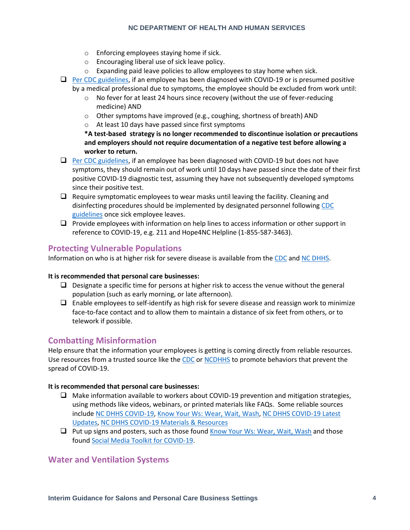#### **NC DEPARTMENT OF HEALTH AND HUMAN SERVICES**

- o Enforcing employees staying home if sick.
- o Encouraging liberal use of sick leave policy.
- $\circ$  Expanding paid leave policies to allow employees to stay home when sick.
- ❑ [Per CDC guidelines,](https://www.cdc.gov/coronavirus/2019-ncov/hcp/disposition-hospitalized-patients.html) if an employee has been diagnosed with COVID-19 or is presumed positive by a medical professional due to symptoms, the employee should be excluded from work until:
	- o No fever for at least 24 hours since recovery (without the use of fever-reducing medicine) AND
	- $\circ$  Other symptoms have improved (e.g., coughing, shortness of breath) AND
	- o At least 10 days have passed since first symptoms

**\*A test-based strategy is no longer recommended to discontinue isolation or precautions and employers should not require documentation of a negative test before allowing a worker to return.**

- □ [Per CDC guidelines,](https://www.cdc.gov/coronavirus/2019-ncov/hcp/disposition-hospitalized-patients.html) if an employee has been diagnosed with COVID-19 but does not have symptoms, they should remain out of work until 10 days have passed since the date of their first positive COVID-19 diagnostic test, assuming they have not subsequently developed symptoms since their positive test.
- $\Box$  Require symptomatic employees to wear masks until leaving the facility. Cleaning and disinfecting procedures should be implemented by designated personnel following [CDC](https://www.cdc.gov/coronavirus/2019-ncov/community/organizations/cleaning-disinfection.html#Cleaning)  [guidelines](https://www.cdc.gov/coronavirus/2019-ncov/community/organizations/cleaning-disinfection.html#Cleaning) once sick employee leaves.
- ❑ Provide employees with information on help lines to access information or other support in reference to COVID-19, e.g. 211 and Hope4NC Helpline (1-855-587-3463).

# **Protecting Vulnerable Populations**

Information on who is at higher risk for severe disease is available from the [CDC](https://www.cdc.gov/coronavirus/2019-ncov/need-extra-precautions/people-at-higher-risk.html) and [NC DHHS.](https://covid19.ncdhhs.gov/information/individuals-families-communities/individuals-higher-risk)

## **It is recommended that personal care businesses:**

- $\Box$  Designate a specific time for persons at higher risk to access the venue without the general population (such as early morning, or late afternoon).
- $\Box$  Enable employees to self-identify as high risk for severe disease and reassign work to minimize face-to-face contact and to allow them to maintain a distance of six feet from others, or to telework if possible.

# **Combatting Misinformation**

Help ensure that the information your employees is getting is coming directly from reliable resources. Use resources from a trusted source like the [CDC](https://www.cdc.gov/coronavirus/2019-ncov/prevent-getting-sick/prevention.html) or [NCDHHS](https://www.ncdhhs.gov/divisions/public-health/covid19/individuals-and-families) to promote behaviors that prevent the spread of COVID-19.

## **It is recommended that personal care businesses:**

- ❑ Make information available to workers about COVID-19 prevention and mitigation strategies, using methods like videos, webinars, or printed materials like FAQs. Some reliable sources include [NC DHHS COVID-19,](https://covid19.ncdhhs.gov/) [Know Your Ws: Wear, Wait, Wash,](https://covid19.ncdhhs.gov/materials-resources/know-your-ws-wear-wait-wash) [NC DHHS COVID-19 Latest](https://covid19.ncdhhs.gov/latest-updates)  [Updates,](https://covid19.ncdhhs.gov/latest-updates) [NC DHHS COVID-19 Materials & Resources](https://covid19.ncdhhs.gov/materials-resources)
- ❑ Put up signs and posters, such as those foun[d Know Your Ws: Wear, Wait, Wash](https://covid19.ncdhhs.gov/materials-resources/know-your-ws-wear-wait-wash) and those found [Social Media Toolkit for COVID-19.](https://covid19.ncdhhs.gov/materials-resources/social-media-toolkit-covid-19)

# **Water and Ventilation Systems**